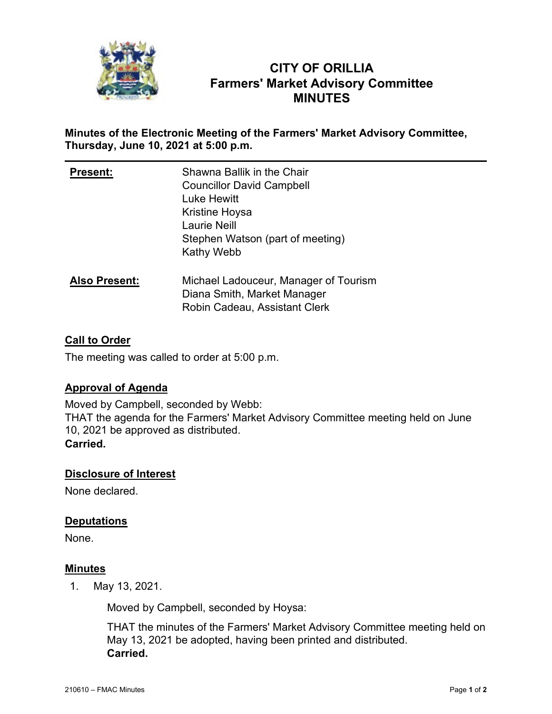

# **CITY OF ORILLIA Farmers' Market Advisory Committee MINUTES**

## **Minutes of the Electronic Meeting of the Farmers' Market Advisory Committee, Thursday, June 10, 2021 at 5:00 p.m.**

| <b>Present:</b>      | Shawna Ballik in the Chair<br><b>Councillor David Campbell</b><br><b>Luke Hewitt</b><br>Kristine Hoysa<br>Laurie Neill<br>Stephen Watson (part of meeting)<br>Kathy Webb |
|----------------------|--------------------------------------------------------------------------------------------------------------------------------------------------------------------------|
| <b>Also Present:</b> | Michael Ladouceur, Manager of Tourism<br>Diana Smith, Market Manager<br>Robin Cadeau, Assistant Clerk                                                                    |

# **Call to Order**

The meeting was called to order at 5:00 p.m.

### **Approval of Agenda**

Moved by Campbell, seconded by Webb: THAT the agenda for the Farmers' Market Advisory Committee meeting held on June 10, 2021 be approved as distributed. **Carried.**

### **Disclosure of Interest**

None declared.

### **Deputations**

None.

### **Minutes**

1. May 13, 2021.

Moved by Campbell, seconded by Hoysa:

THAT the minutes of the Farmers' Market Advisory Committee meeting held on May 13, 2021 be adopted, having been printed and distributed. **Carried.**